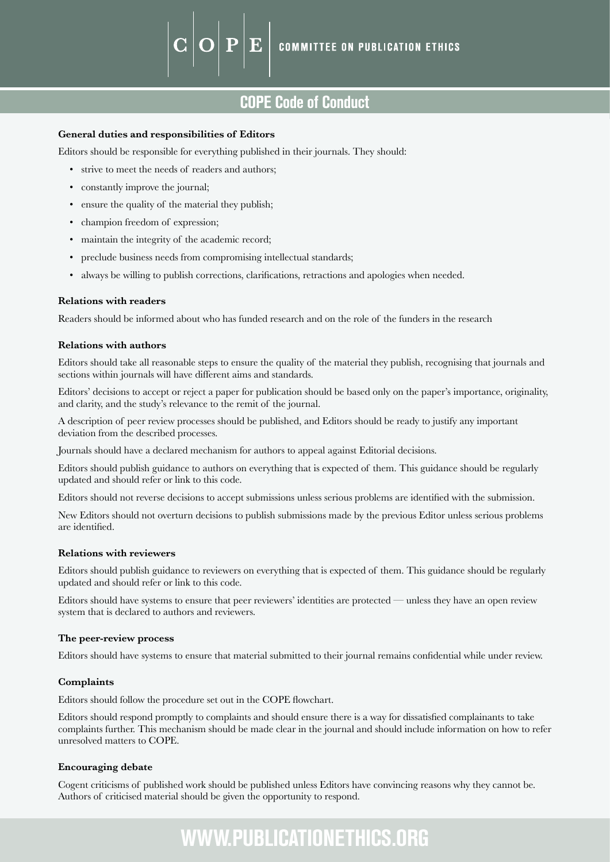### COPE Code of Conduct

#### **General duties and responsibilities of Editors**

Editors should be responsible for everything published in their journals. They should:

 ${\bf P}$ 

E

- strive to meet the needs of readers and authors;
- constantly improve the journal;
- ensure the quality of the material they publish;
- champion freedom of expression;
- maintain the integrity of the academic record;
- preclude business needs from compromising intellectual standards;
- always be willing to publish corrections, clarifications, retractions and apologies when needed.

#### **Relations with readers**

Readers should be informed about who has funded research and on the role of the funders in the research

#### **Relations with authors**

Editors should take all reasonable steps to ensure the quality of the material they publish, recognising that journals and sections within journals will have different aims and standards.

Editors' decisions to accept or reject a paper for publication should be based only on the paper's importance, originality, and clarity, and the study's relevance to the remit of the journal.

A description of peer review processes should be published, and Editors should be ready to justify any important deviation from the described processes.

Journals should have a declared mechanism for authors to appeal against Editorial decisions.

Editors should publish guidance to authors on everything that is expected of them. This guidance should be regularly updated and should refer or link to this code.

Editors should not reverse decisions to accept submissions unless serious problems are identified with the submission.

New Editors should not overturn decisions to publish submissions made by the previous Editor unless serious problems are identified.

#### **Relations with reviewers**

Editors should publish guidance to reviewers on everything that is expected of them. This guidance should be regularly updated and should refer or link to this code.

Editors should have systems to ensure that peer reviewers' identities are protected — unless they have an open review system that is declared to authors and reviewers.

#### **The peer-review process**

Editors should have systems to ensure that material submitted to their journal remains confidential while under review.

#### **Complaints**

Editors should follow the procedure set out in the COPE flowchart.

Editors should respond promptly to complaints and should ensure there is a way for dissatisfied complainants to take complaints further. This mechanism should be made clear in the journal and should include information on how to refer unresolved matters to COPE.

#### **Encouraging debate**

Cogent criticisms of published work should be published unless Editors have convincing reasons why they cannot be. Authors of criticised material should be given the opportunity to respond.

# WWW.PUBLICATIONETHICS.ORG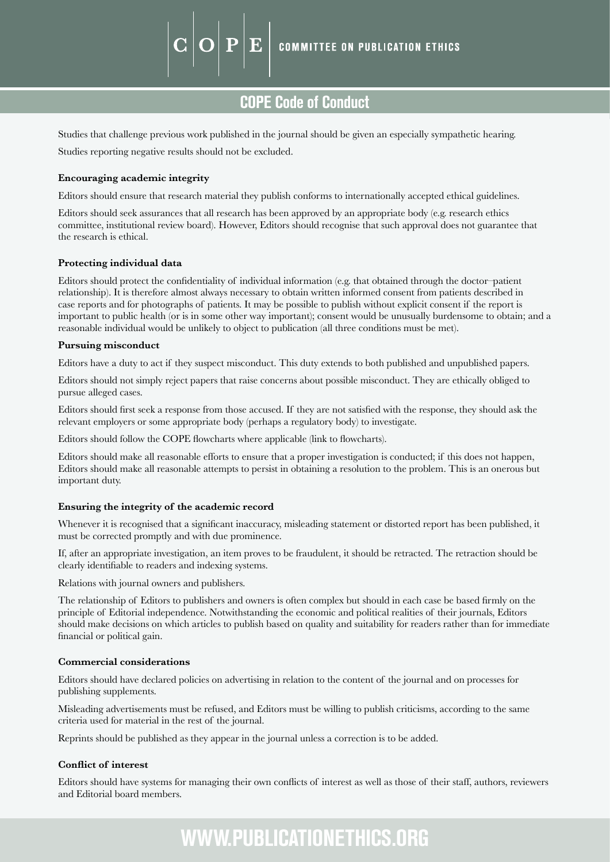COPE Code of Conduct

Studies that challenge previous work published in the journal should be given an especially sympathetic hearing. Studies reporting negative results should not be excluded.

E

#### **Encouraging academic integrity**

Editors should ensure that research material they publish conforms to internationally accepted ethical guidelines.

Editors should seek assurances that all research has been approved by an appropriate body (e.g. research ethics committee, institutional review board). However, Editors should recognise that such approval does not guarantee that the research is ethical.

#### **Protecting individual data**

Editors should protect the confidentiality of individual information (e.g. that obtained through the doctor–patient relationship). It is therefore almost always necessary to obtain written informed consent from patients described in case reports and for photographs of patients. It may be possible to publish without explicit consent if the report is important to public health (or is in some other way important); consent would be unusually burdensome to obtain; and a reasonable individual would be unlikely to object to publication (all three conditions must be met).

#### **Pursuing misconduct**

Editors have a duty to act if they suspect misconduct. This duty extends to both published and unpublished papers.

Editors should not simply reject papers that raise concerns about possible misconduct. They are ethically obliged to pursue alleged cases.

Editors should first seek a response from those accused. If they are not satisfied with the response, they should ask the relevant employers or some appropriate body (perhaps a regulatory body) to investigate.

Editors should follow the COPE flowcharts where applicable (link to flowcharts).

Editors should make all reasonable efforts to ensure that a proper investigation is conducted; if this does not happen, Editors should make all reasonable attempts to persist in obtaining a resolution to the problem. This is an onerous but important duty.

#### **Ensuring the integrity of the academic record**

Whenever it is recognised that a significant inaccuracy, misleading statement or distorted report has been published, it must be corrected promptly and with due prominence.

If, after an appropriate investigation, an item proves to be fraudulent, it should be retracted. The retraction should be clearly identifiable to readers and indexing systems.

Relations with journal owners and publishers.

The relationship of Editors to publishers and owners is often complex but should in each case be based firmly on the principle of Editorial independence. Notwithstanding the economic and political realities of their journals, Editors should make decisions on which articles to publish based on quality and suitability for readers rather than for immediate financial or political gain.

#### **Commercial considerations**

Editors should have declared policies on advertising in relation to the content of the journal and on processes for publishing supplements.

Misleading advertisements must be refused, and Editors must be willing to publish criticisms, according to the same criteria used for material in the rest of the journal.

Reprints should be published as they appear in the journal unless a correction is to be added.

#### **Conflict of interest**

Editors should have systems for managing their own conflicts of interest as well as those of their staff, authors, reviewers and Editorial board members.

## WWW.PUBLICATIONETHICS.ORG